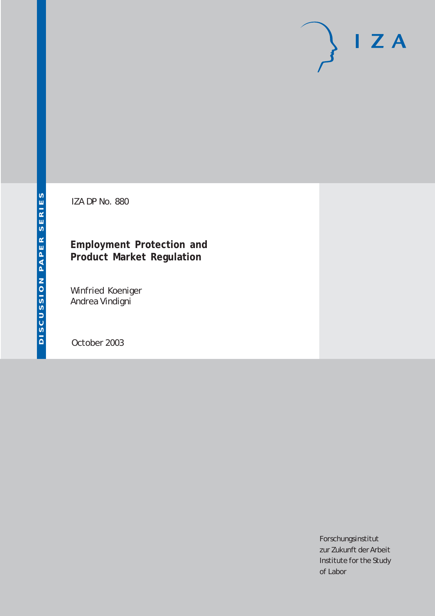# $I Z A$

IZA DP No. 880

## **Employment Protection and Product Market Regulation**

Winfried Koeniger Andrea Vindigni

October 2003

Forschungsinstitut zur Zukunft der Arbeit Institute for the Study of Labor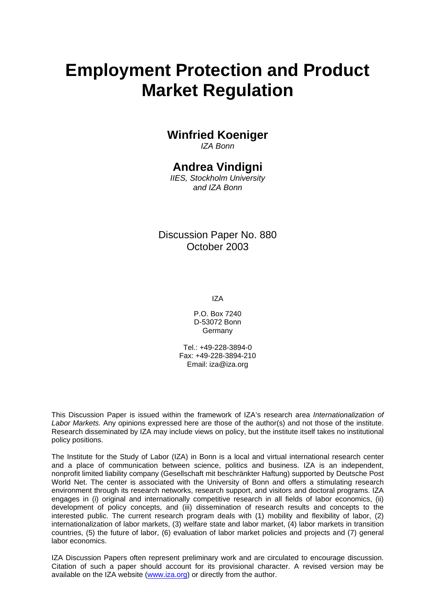# **Employment Protection and Product Market Regulation**

## **Winfried Koeniger**

*IZA Bonn* 

## **Andrea Vindigni**

*IIES, Stockholm University and IZA Bonn* 

Discussion Paper No. 880 October 2003

IZA

P.O. Box 7240 D-53072 Bonn **Germany** 

Tel.: +49-228-3894-0 Fax: +49-228-3894-210 Email: [iza@iza.org](mailto:iza@iza.org)

This Discussion Paper is issued within the framework of IZA's research area *Internationalization of Labor Markets.* Any opinions expressed here are those of the author(s) and not those of the institute. Research disseminated by IZA may include views on policy, but the institute itself takes no institutional policy positions.

The Institute for the Study of Labor (IZA) in Bonn is a local and virtual international research center and a place of communication between science, politics and business. IZA is an independent, nonprofit limited liability company (Gesellschaft mit beschränkter Haftung) supported by Deutsche Post World Net. The center is associated with the University of Bonn and offers a stimulating research environment through its research networks, research support, and visitors and doctoral programs. IZA engages in (i) original and internationally competitive research in all fields of labor economics, (ii) development of policy concepts, and (iii) dissemination of research results and concepts to the interested public. The current research program deals with (1) mobility and flexibility of labor, (2) internationalization of labor markets, (3) welfare state and labor market, (4) labor markets in transition countries, (5) the future of labor, (6) evaluation of labor market policies and projects and (7) general labor economics.

IZA Discussion Papers often represent preliminary work and are circulated to encourage discussion. Citation of such a paper should account for its provisional character. A revised version may be available on the IZA website ([www.iza.org](http://www.iza.org/)) or directly from the author.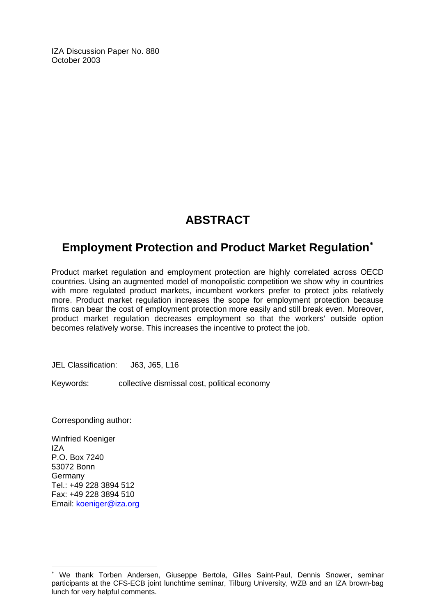IZA Discussion Paper No. 880 October 2003

## **ABSTRACT**

## **Employment Protection and Product Market Regulation**[∗](#page-2-0)

Product market regulation and employment protection are highly correlated across OECD countries. Using an augmented model of monopolistic competition we show why in countries with more regulated product markets, incumbent workers prefer to protect jobs relatively more. Product market regulation increases the scope for employment protection because firms can bear the cost of employment protection more easily and still break even. Moreover, product market regulation decreases employment so that the workers' outside option becomes relatively worse. This increases the incentive to protect the job.

JEL Classification: J63, J65, L16

Keywords: collective dismissal cost, political economy

Corresponding author:

Winfried Koeniger IZA P.O. Box 7240 53072 Bonn Germany Tel.: +49 228 3894 512 Fax: +49 228 3894 510 Email: [koeniger@iza.org](mailto:koeniger@iza.org)

 $\overline{a}$ 

<span id="page-2-0"></span><sup>∗</sup> We thank Torben Andersen, Giuseppe Bertola, Gilles Saint-Paul, Dennis Snower, seminar participants at the CFS-ECB joint lunchtime seminar, Tilburg University, WZB and an IZA brown-bag lunch for very helpful comments.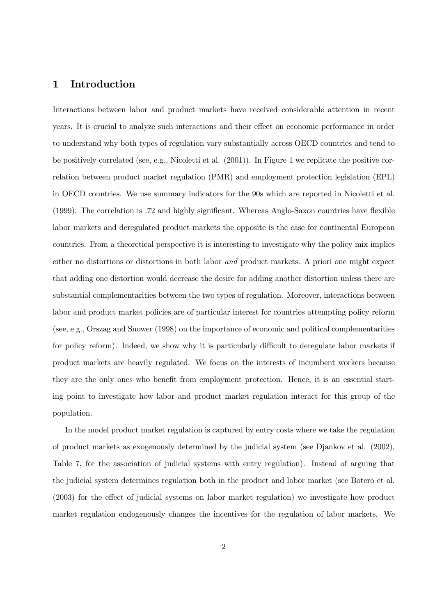Interactions between labor and product markets have received considerable attention in recent  $\mathcal{H}$  lw do wr down division wr down division down division for  $\mathbf{f}$  representation  $\mathbf{f}$ to understand why both types of regulation vary substantially across OECD countries and tend to be positively correlated (see, e.g., Nicoletti et al.  $(2001)$ ). In Figure 1 we replicate the positive correlation between product market regulation (PMR) and employment protection legislation (EPL) in OECD countries. We use summary indicators for the 90s which are reported in Nicoletti et al.  $(1999)$ . The correlation is .72 and highly significant. Whereas Anglo-Saxon countries have flexible labor markets and deregulated product markets the opposite is the case for continental European frama iurp d wkhruhovi lw lv lv lv lv lv lv lv lv latingwhenvl $\frac{1}{2}$  which since  $\frac{1}{2}$  and  $\frac{1}{2}$  in less left with  $\frac{1}{2}$  and  $\frac{1}{2}$  in let  $\frac{1}{2}$  and  $\frac{1}{2}$  in let  $\frac{1}{2}$  and  $\frac{1}{2}$  in let  $\$ either no distortions or distortions in both labor *and* product markets. A priori one might expect that adding one distortion would decrease the desire for adding another distortion unless there are vxevwddul vadparddulwdiaeth wah wad uhi wy y powad shydwddid aleadau lyddau lyddiaethol wah call oderu d $_{\rm r}$  surgxfu laga sroling sroling sroling sroling sroling sroling  $_{\rm r}$  or  $_{\rm r}$  sroling sroling sroling sroling sroling sroling sroling sroling sroling sroling sroling sroling sroling sroling sroling srolin (see, e.g., Orszag and Snower  $(1998)$ ) on the importance of economic and political complementarities for policy reform). Indeed, we show why it is particularly difficult to deregulate labor markets if product markets are heavily regulated. We focus on the interests of incumbent workers because they are the only ones who benefit from employment protection. Hence, it is an essential starting point to investigate how labor and product market regulation interact for this group of the  $\mathbf{r}$  srstate with  $\mathbf{r}$ 

 $\mathcal{L}_{\mathbf{r}}$  which is the square element of  $\mathcal{L}_{\mathbf{r}}$  is a hypothesis which we have  $\mathcal{L}_{\mathbf{r}}$ of product markets as exogenously determined by the judicial system (see Djankov et al.  $(2002)$ , Table 7, for the association of judicial systems with entry regulation). Instead of arguing that the judicial system determines regulation both in the product and labor market (see Botero et al.  $(2003)$  for the effect of judicial systems on labor market regulation) we investigate how product market regulation endogenously changes the incentives for the regulation of labor markets. We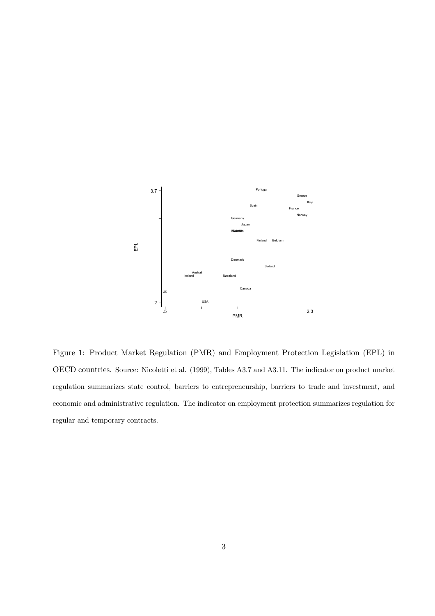

Figure 1: Product Market Regulation (PMR) and Employment Protection Legislation (EPL) in OECD countries. Source: Nicoletti et al. (1999), Tables A3.7 and A3.11. The indicator on product market regulation summarizes state control, barriers to entrepreneurship, barriers to trade and investment, and economic and administrative regulation. The indicator on employment protection summarizes regulation for regular and temporary contracts.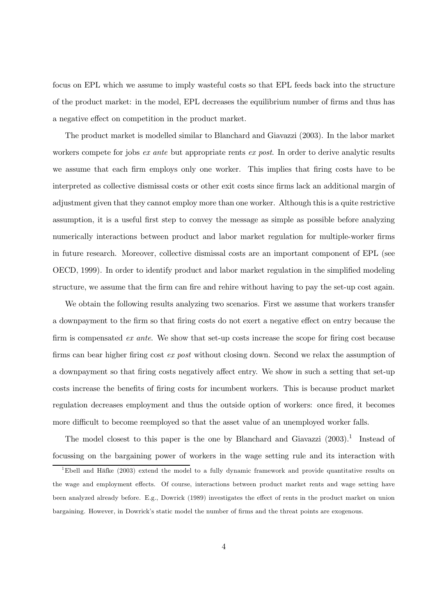focus on EPL which we assume to imply wasteful costs so that EPL feeds back into the structure of the product market: in the model, EPL decreases the equilibrium number of firms and thus has a negative effect on competition in the product market.

The product market is modelled similar to Blanchard and Giavazzi (2003). In the labor market workers compete for jobs ex ante but appropriate rents ex post. In order to derive analytic results we assume that each firm employs only one worker. This implies that firing costs have to be interpreted as collective dismissal costs or other exit costs since firms lack an additional margin of adjustment given that they cannot employ more than one worker. Although this is a quite restrictive assumption, it is a useful first step to convey the message as simple as possible before analyzing numerically interactions between product and labor market regulation for multiple-worker firms in future research. Moreover, collective dismissal costs are an important component of EPL (see OECD, 1999). In order to identify product and labor market regulation in the simplified modeling structure, we assume that the firm can fire and rehire without having to pay the set-up cost again.

We obtain the following results analyzing two scenarios. First we assume that workers transfer a downpayment to the firm so that firing costs do not exert a negative effect on entry because the firm is compensated ex ante. We show that set-up costs increase the scope for firing cost because firms can bear higher firing cost  $ex$  post without closing down. Second we relax the assumption of a downpayment so that firing costs negatively affect entry. We show in such a setting that set-up costs increase the benefits of firing costs for incumbent workers. This is because product market regulation decreases employment and thus the outside option of workers: once fired, it becomes more difficult to become reemployed so that the asset value of an unemployed worker falls.

The model closest to this paper is the one by Blanchard and Giavazzi  $(2003).<sup>1</sup>$  Instead of focussing on the bargaining power of workers in the wage setting rule and its interaction with

<sup>&</sup>lt;sup>1</sup>Ebell and Häfke  $(2003)$  extend the model to a fully dynamic framework and provide quantitative results on the wage and employment effects. Of course, interactions between product market rents and wage setting have been analyzed already before. E.g., Dowrick (1989) investigates the effect of rents in the product market on union bargaining. However, in Dowrick's static model the number of firms and the threat points are exogenous.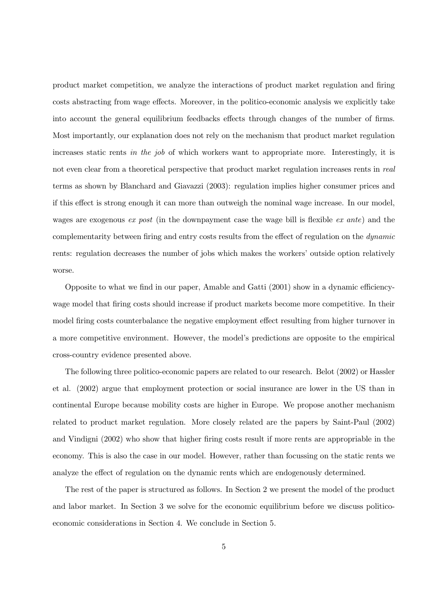$s$ surdxfu indictive completency, we directly its directly rise interaction of product indicate  $\sim$   $\sigma$  directly directly directly  $\sim$ costs abstracting from wage effects. Moreover, in the politico-economic analysis we explicitly take into account the general equilibrium feedbacks effects through changes of the number of firms.  $P_{\text{max}}$  ranged  $P_{\text{max}}$  , ranged  $P_{\text{max}}$  and  $P_{\text{max}}$  is a regular model with product measure  $P_{\text{max}}$  . increases static rents in the job of which workers want to appropriate more. Interestingly, it is not even clear from a theoretical perspective that product market regulation increases rents in real terms as shown by Blanchard and Giavazzi  $(2003)$ : regulation implies higher consumer prices and if this effect is strong enough it can more than outweigh the nominal wage increase. In our model, wages are exogenous ex post (in the downpayment case the wage bill is flexible ex ante) and the complementarity between firing and entry costs results from the effect of regulation on the dynamic rents: regulation decreases the number of jobs which makes the workers' outside option relatively

Opposite to what we find in our paper, Amable and Gatti  $(2001)$  show in a dynamic efficiencywage model that firing costs should increase if product markets become more competitive. In their model firing costs counterbalance the negative employment effect resulting from higher turnover in a more competitive environment. However, the model's predictions are opposite to the empirical cross-country evidence presented above.

The following three politico-economic papers are related to our research. Belot (2002) or Hassler hw dond (5335) dugaa hoor soo phaqaan phaasan ah saan oo lada la wadan dul oo la waa oo dadka loo continental Europe because mobility costs are higher in Europe. We propose another mechanism related to product market regulation. More closely related are the papers by Saint-Paul  $(2002)$  $\frac{1}{2}$ here  $\frac{1}{2}$  which is done what for the latter which  $\frac{1}{2}$  is a contribution of under  $\frac{1}{2}$ analyze the effect of regulation on the dynamic rents which are endogenously determined.

The rest of the paper is structured as follows. In Section 2 we present the model of the product and labor market. In Section 3 we solve for the economic equilibrium before we discuss politicoeconomic considerations in Section 4. We conclude in Section 5.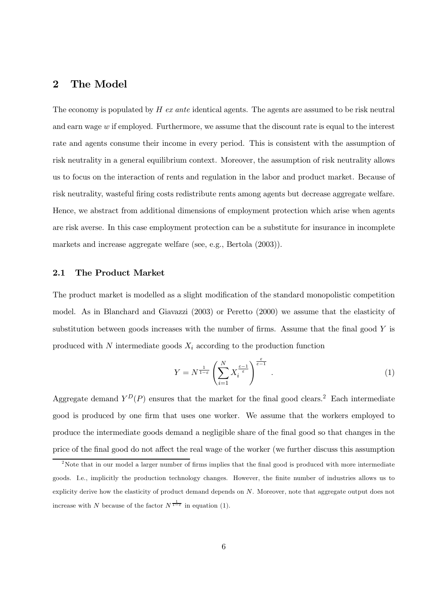The economy is populated by  $H$  ex ante identical agents. The agents are assumed to be risk neutral and earn wage  $w$  if employed. Furthermore, we assume that the discount rate is equal to the interest rate and agents consume their income in every period. This is consistent with the assumption of risk neutrality in a general equilibrium context. Moreover, the assumption of risk neutrality allows us to focus on the interaction of rents and regulation in the labor and product market. Because of risk neutrality, was teful firing costs redistribute rents among agents but decrease aggregate welfare. Hence, we abstract from additional dimensions of employment protection which arise when agents are risk averse. In this case employment protection can be a substitute for insurance in incomplete markets and increase aggregate welfare (see, e.g., Bertola  $(2003)$ ).

#### 2.1 The Product Market

 $W_{\text{r}}$  survey point of the voltaging  $\theta$  volume provides the provides  $\mathbf{r}$ model. As in Blanchard and Giavazzi  $(2003)$  or Peretto  $(2000)$  we assume that the elasticity of substitution between goods increases with the number of firms. Assume that the final good  $Y$  is produced with N intermediate goods  $X_i$  according to the production function

$$
Y = N^{\frac{1}{1-\varepsilon}} \left( \sum_{i=1}^{N} X_i^{\frac{\varepsilon-1}{\varepsilon}} \right)^{\frac{\varepsilon}{\varepsilon-1}} . \tag{1}
$$

Aggregate demand  $Y^D(P)$  ensures that the market for the final good clears.<sup>2</sup> Each intermediate good is produced by one firm that uses one worker. We assume that the workers employed to produce the intermediate goods demand a negligible share of the final good so that changes in the price of the final good do not affect the real wage of the worker (we further discuss this assumption

<sup>&</sup>lt;sup>2</sup>Note that in our model a larger number of firms implies that the final good is produced with more intermediate goods. I.e., implicitly the production technology changes. However, the finite number of industries allows us to explicity derive how the elasticity of product demand depends on  $N$ . Moreover, note that aggregate output does not increase with N because of the factor  $N^{\frac{1}{1-\varepsilon}}$  $\mathbf{u}_1$  and  $\mathbf{u}_2$ ,  $\mathbf{u}_3$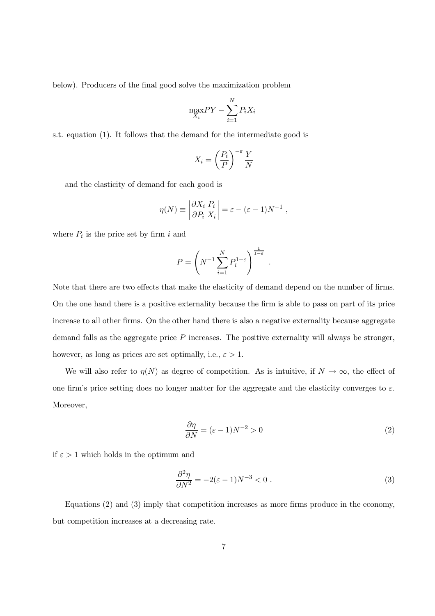below). Producers of the final good solve the maximization problem

$$
\max_{X_i} PY - \sum_{i=1}^N P_i X_i
$$

s.t. equation (1). It follows that the demand for the intermediate good is

$$
X_i = \left(\frac{P_i}{P}\right)^{-\varepsilon} \frac{Y}{N}
$$

and the elasticity of demand for each good is

$$
\eta(N) \equiv \left| \frac{\partial X_i}{\partial P_i} \frac{P_i}{X_i} \right| = \varepsilon - (\varepsilon - 1) N^{-1} ,
$$

where  $P_i$  is the price set by firm i and

$$
P = \left(N^{-1} \sum_{i=1}^{N} P_i^{1-\varepsilon}\right)^{\frac{1}{1-\varepsilon}}
$$

Note that there are two effects that make the elasticity of demand depend on the number of firms. On the one hand there is a positive externality because the firm is able to pass on part of its price increase to all other firms. On the other hand there is also a negative externality because aggregate demand falls as the aggregate price  $P$  increases. The positive externality will always be stronger, however, as long as prices are set optimally, i.e.,  $\varepsilon > 1$ .

We will also refer to  $\eta(N)$  as degree of competition. As is intuitive, if  $N \to \infty$ , the effect of one firm's price setting does no longer matter for the aggregate and the elasticity converges to  $\varepsilon$ . Moreover,

$$
\frac{\partial \eta}{\partial N} = (\varepsilon - 1)N^{-2} > 0\tag{2}
$$

if  $\varepsilon > 1$  which holds in the optimum and

$$
\frac{\partial^2 \eta}{\partial N^2} = -2(\varepsilon - 1)N^{-3} < 0 \tag{3}
$$

Equations  $(2)$  and  $(3)$  imply that competition increases as more firms produce in the economy, but competition increases at a decreasing rate.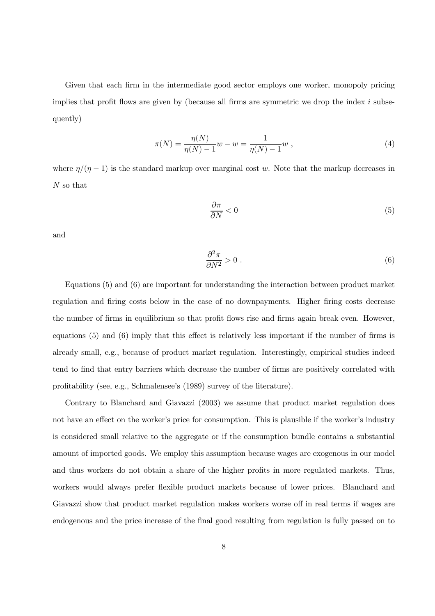Given that each firm in the intermediate good sector employs one worker, monopoly pricing implies that profit flows are given by (because all firms are symmetric we drop the index  $i$  subsequently)

$$
\pi(N) = \frac{\eta(N)}{\eta(N) - 1} w - w = \frac{1}{\eta(N) - 1} w , \qquad (4)
$$

where  $\eta/(\eta-1)$  is the standard markup over marginal cost w. Note that the markup decreases in  $N$  so that

$$
\frac{\partial \pi}{\partial N} < 0 \tag{5}
$$

and

$$
\frac{\partial^2 \pi}{\partial N^2} > 0 \tag{6}
$$

Equations  $(5)$  and  $(6)$  are important for understanding the interaction between product market regulation and firing costs below in the case of no downpayments. Higher firing costs decrease the number of firms in equilibrium so that profit flows rise and firms again break even. However, equations  $(5)$  and  $(6)$  imply that this effect is relatively less important if the number of firms is already small, e.g., because of product market regulation. Interestingly, empirical studies indeed tend to find that entry barriers which decrease the number of firms are positively correlated with profitability (see, e.g., Schmalensee's (1989) survey of the literature).

Contrary to Blanchard and Giavazzi (2003) we assume that product market regulation does not have an effect on the worker's price for consumption. This is plausible if the worker's industry is considered small relative to the aggregate or if the consumption bundle contains a substantial amount of imported goods. We employ this assumption because wages are exogenous in our model and thus workers do not obtain a share of the higher profits in more regulated markets. Thus, workers would always prefer flexible product markets because of lower prices. Blanchard and Giavazzi show that product market regulation makes workers worse off in real terms if wages are endogenous and the price increase of the final good resulting from regulation is fully passed on to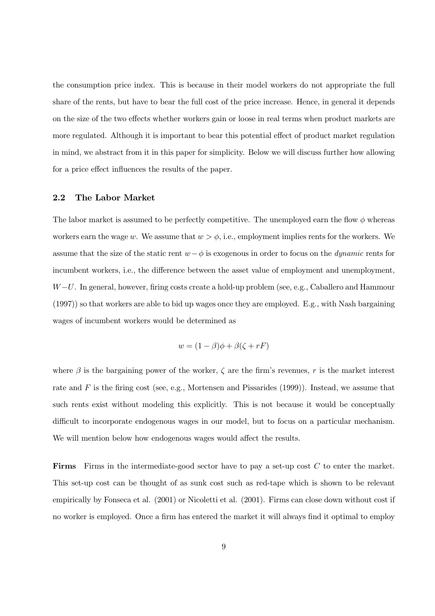the consumption price index. This is because in their model workers do not appropriate the full share of the rents, but have to bear the full cost of the price increase. Hence, in general it depends on the size of the two effects whether workers gain or loose in real terms when product markets are more regulated. Although it is important to bear this potential effect of product market regulation in mind, we abstract from it in this paper for simplicity. Below we will discuss further how allowing for a price effect influences the results of the paper.

#### $2.2$ The Labor Market

The labor market is assumed to be perfectly competitive. The unemployed earn the flow  $\phi$  whereas workers earn the wage w. We assume that  $w > \phi$ , i.e., employment implies rents for the workers. We assume that the size of the static rent  $w - \phi$  is exogenous in order to focus on the *dynamic* rents for incumbent workers, i.e., the difference between the asset value of employment and unemployment,  $W-U$ . In general, however, firing costs create a hold-up problem (see, e.g., Caballero and Hammour  $(1997)$  so that workers are able to bid up wages once they are employed. E.g., with Nash bargaining wages of incumbent workers would be determined as

$$
w = (1 - \beta)\phi + \beta(\zeta + rF)
$$

where  $\beta$  is the bargaining power of the worker,  $\zeta$  are the firm's revenues, r is the market interest rate and F is the firing cost (see, e.g., Mortensen and Pissarides  $(1999)$ ). Instead, we assume that such rents exist without modeling this explicitly. This is not because it would be conceptually difficult to incorporate endogenous wages in our model, but to focus on a particular mechanism. We will mention below how endogenous wages would affect the results.

**Firms** Firms in the intermediate-good sector have to pay a set-up cost  $C$  to enter the market. This set-up cost can be thought of as sunk cost such as red-tape which is shown to be relevant empirically by Fonseca et al. (2001) or Nicoletti et al. (2001). Firms can close down without cost if no worker is employed. Once a firm has entered the market it will always find it optimal to employ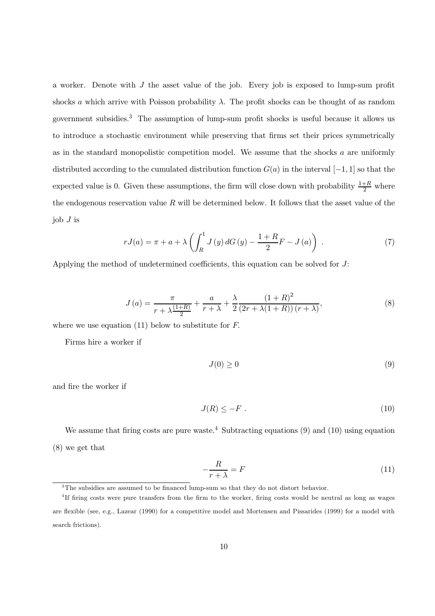a worker. Denote with  $J$  the asset value of the job. Every job is exposed to lump-sum profit shocks a which arrive with Poisson probability  $\lambda$ . The profit shocks can be thought of as random government subsidies.<sup>3</sup> The assumption of lump-sum profit shocks is useful because it allows us to introduce a stochastic environment while preserving that firms set their prices symmetrically as in the standard monopolistic competition model. We assume that the shocks  $a$  are uniformly distributed according to the cumulated distribution function  $G(a)$  in the interval  $[-1, 1]$  so that the expected value is 0. Given these assumptions, the firm will close down with probability  $\frac{1+R}{2}$  where the endogenous reservation value  $R$  will be determined below. It follows that the asset value of the job  $J$  is

$$
rJ(a) = \pi + a + \lambda \left( \int_{R}^{1} J(y) dG(y) - \frac{1+R}{2} F - J(a) \right) . \tag{7}
$$

Applying the method of undetermined coefficients, this equation can be solved for  $J$ :

$$
J\left(a\right) = \frac{\pi}{r + \lambda \frac{\left(1+R\right)}{2}} + \frac{a}{r + \lambda} + \frac{\lambda}{2} \frac{\left(1+R\right)^2}{\left(2r + \lambda\left(1+R\right)\right)\left(r + \lambda\right)},\tag{8}
$$

where we use equation  $(11)$  below to substitute for F.

Firms hire a worker if

$$
J(0) \ge 0 \tag{9}
$$

and fire the worker if

$$
J(R) \le -F \tag{10}
$$

We assume that firing costs are pure waste.<sup>4</sup> Subtracting equations (9) and (10) using equation  $(8)$  we get that

$$
-\frac{R}{r+\lambda} = F\tag{11}
$$

 $3$ The subsidies are assumed to be financed lump-sum so that they do not distort behavior.

<sup>&</sup>lt;sup>4</sup>If firing costs were pure transfers from the firm to the worker, firing costs would be neutral as long as wages are flexible (see, e.g., Lazear (1990) for a competitive model and Mortensen and Pissarides (1999) for a model with search frictions).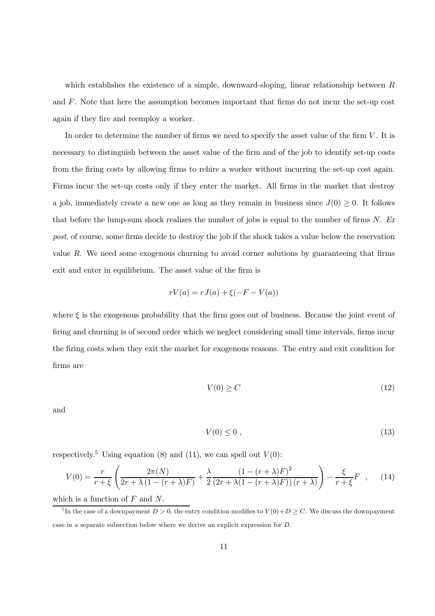which establishes the existence of a simple, downward-sloping, linear relationship between  $R$ and  $F$ . Note that here the assumption becomes important that firms do not incur the set-up cost again if they fire and reemploy a worker.

In order to determine the number of firms we need to specify the asset value of the firm  $V$ . It is necessary to distinguish between the asset value of the firm and of the job to identify set-up costs from the firing costs by allowing firms to rehire a worker without incurring the set-up cost again. Firms incur the set-up costs only if they enter the market. All firms in the market that destroy a job, immediately create a new one as long as they remain in business since  $J(0) \geq 0$ . It follows that before the lump-sum shock realizes the number of jobs is equal to the number of firms  $N$ . Ex post, of course, some firms decide to destroy the job if the shock takes a value below the reservation value  $R$ . We need some exogenous churning to avoid corner solutions by guaranteeing that firms exit and enter in equilibrium. The asset value of the firm is

$$
rV(a) = rJ(a) + \xi(-F - V(a))
$$

where  $\xi$  is the exogenous probability that the firm goes out of business. Because the joint event of firing and churning is of second order which we neglect considering small time intervals, firms incur the firing costs when they exit the market for exogenous reasons. The entry and exit condition for firms are

$$
V(0) \ge C \tag{12}
$$

and

$$
V(0) \le 0 \tag{13}
$$

respectively.<sup>5</sup> Using equation (8) and (11), we can spell out  $V(0)$ :

$$
V(0) = \frac{r}{r+\xi} \left( \frac{2\pi(N)}{2r+\lambda(1-(r+\lambda)F)} + \frac{\lambda}{2} \frac{(1-(r+\lambda)F)^2}{(2r+\lambda(1-(r+\lambda)F))(r+\lambda)} \right) - \frac{\xi}{r+\xi}F \quad , \quad (14)
$$

which is a function of  ${\cal F}$  and  $N.$ 

<sup>&</sup>lt;sup>5</sup>In the case of a downpayment  $D > 0$ , the entry condition modifies to  $V(0) + D \ge C$ . We discuss the downpayment case in a separate subsection below where we derive an explicit expression for  $D$ .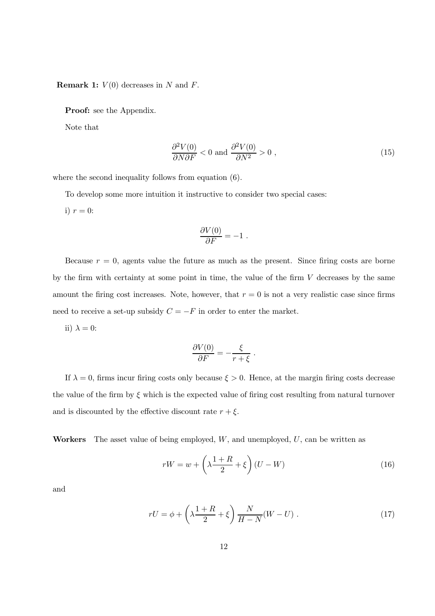**Remark 1:**  $V(0)$  decreases in N and F.

**Proof:** see the Appendix.

Note that

$$
\frac{\partial^2 V(0)}{\partial N \partial F} < 0 \text{ and } \frac{\partial^2 V(0)}{\partial N^2} > 0 \tag{15}
$$

where the second inequality follows from equation  $(6)$ .

To develop some more intuition it instructive to consider two special cases:

i)  $r=0$ :

$$
\frac{\partial V(0)}{\partial F} = -1
$$

Because  $r = 0$ , agents value the future as much as the present. Since firing costs are borne by the firm with certainty at some point in time, the value of the firm  $V$  decreases by the same amount the firing cost increases. Note, however, that  $r = 0$  is not a very realistic case since firms need to receive a set-up subsidy  $C = -F$  in order to enter the market.

ii)  $\lambda = 0$ :

$$
\frac{\partial V(0)}{\partial F} = -\frac{\xi}{r + \xi}
$$

If  $\lambda = 0$ , firms incur firing costs only because  $\xi > 0$ . Hence, at the margin firing costs decrease the value of the firm by  $\xi$  which is the expected value of firing cost resulting from natural turnover and is discounted by the effective discount rate  $r + \xi$ .

Workers The asset value of being employed,  $W$ , and unemployed,  $U$ , can be written as

$$
rW = w + \left(\lambda \frac{1+R}{2} + \xi\right)(U - W) \tag{16}
$$

and

$$
rU = \phi + \left(\lambda \frac{1+R}{2} + \xi\right) \frac{N}{H-N}(W-U) \tag{17}
$$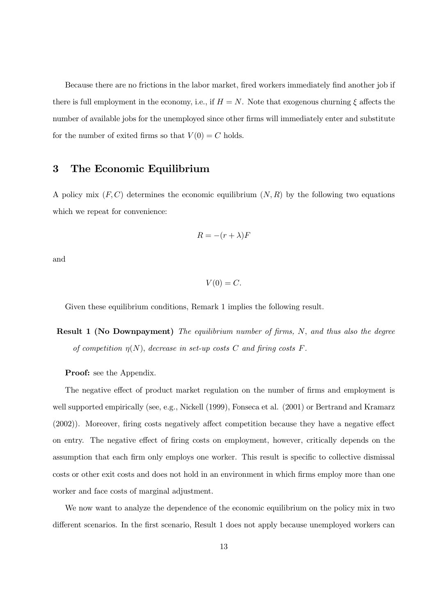Because there are no frictions in the labor market, fired workers immediately find another job if there is full employment in the economy, i.e., if  $H = N$ . Note that exogenous churning  $\xi$  affects the number of available jobs for the unemployed since other firms will immediately enter and substitute for the number of exited firms so that  $V(0) = C$  holds.

#### 3 The Economic Equilibrium

A policy mix  $(F, C)$  determines the economic equilibrium  $(N, R)$  by the following two equations which we repeat for convenience:

$$
R = -(r + \lambda)F
$$

and

 $V(0) = C.$ 

Given these equilibrium conditions, Remark 1 implies the following result.

**Result 1 (No Downpayment)** The equilibrium number of firms, N, and thus also the degree of competition  $\eta(N)$ , decrease in set-up costs C and firing costs F.

**Proof:** see the Appendix.

The negative effect of product market regulation on the number of firms and employment is well supported empirically (see, e.g., Nickell (1999), Fonseca et al. (2001) or Bertrand and Kramarz (2002)). Moreover, firing costs negatively affect competition because they have a negative effect on entry. The negative effect of firing costs on employment, however, critically depends on the assumption that each firm only employs one worker. This result is specific to collective dismissal costs or other exit costs and does not hold in an environment in which firms employ more than one worker and face costs of marginal adjustment.

We now want to analyze the dependence of the economic equilibrium on the policy mix in two different scenarios. In the first scenario, Result 1 does not apply because unemployed workers can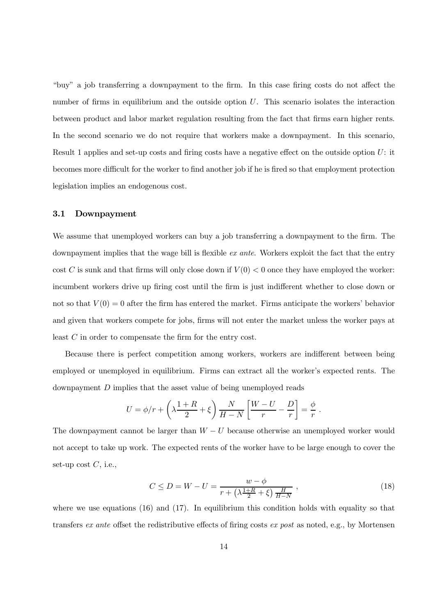"buy" a job transferring a downpayment to the firm. In this case firing costs do not affect the number of firms in equilibrium and the outside option  $U$ . This scenario isolates the interaction between product and labor market regulation resulting from the fact that firms earn higher rents. In the second scenario we do not require that workers make a downpayment. In this scenario, Result 1 applies and set-up costs and firing costs have a negative effect on the outside option  $U$ : it becomes more difficult for the worker to find another job if he is fired so that employment protection legislation implies an endogenous cost.

#### $3.1$ Downpayment

We assume that unemployed workers can buy a job transferring a downpayment to the firm. The downpayment implies that the wage bill is flexible ex ante. Workers exploit the fact that the entry cost C is sunk and that firms will only close down if  $V(0) < 0$  once they have employed the worker: incumbent workers drive up firing cost until the firm is just indifferent whether to close down or not so that  $V(0) = 0$  after the firm has entered the market. Firms anticipate the workers' behavior and given that workers compete for jobs, firms will not enter the market unless the worker pays at least  $C$  in order to compensate the firm for the entry cost.

Because there is perfect competition among workers, workers are indifferent between being employed or unemployed in equilibrium. Firms can extract all the worker's expected rents. The downpayment  $D$  implies that the asset value of being unemployed reads

$$
U = \phi/r + \left(\lambda \frac{1+R}{2} + \xi\right) \frac{N}{H-N} \left[\frac{W-U}{r} - \frac{D}{r}\right] = \frac{\phi}{r}.
$$

The downpayment cannot be larger than  $W-U$  because otherwise an unemployed worker would not accept to take up work. The expected rents of the worker have to be large enough to cover the set-up cost  $C$ , i.e.,

$$
C \le D = W - U = \frac{w - \phi}{r + (\lambda \frac{1+R}{2} + \xi) \frac{H}{H-N}},
$$
\n(18)

where we use equations  $(16)$  and  $(17)$ . In equilibrium this condition holds with equality so that transfers ex ante offset the redistributive effects of firing costs ex post as noted, e.g., by Mortensen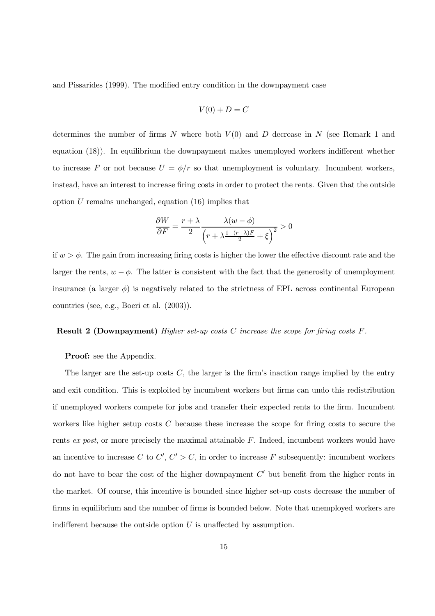and Pissarides (1999). The modified entry condition in the downpayment case

$$
V(0) + D = C
$$

determines the number of firms N where both  $V(0)$  and D decrease in N (see Remark 1 and equation  $(18)$ ). In equilibrium the downpayment makes unemployed workers indifferent whether to increase F or not because  $U = \phi/r$  so that unemployment is voluntary. Incumbent workers, instead, have an interest to increase firing costs in order to protect the rents. Given that the outside option  $U$  remains unchanged, equation  $(16)$  implies that

$$
\frac{\partial W}{\partial F} = \frac{r + \lambda}{2} \frac{\lambda (w - \phi)}{\left(r + \lambda \frac{1 - (r + \lambda)F}{2} + \xi\right)^2} > 0
$$

if  $w > \phi$ . The gain from increasing firing costs is higher the lower the effective discount rate and the larger the rents,  $w - \phi$ . The latter is consistent with the fact that the generosity of unemployment insurance (a larger  $\phi$ ) is negatively related to the strictness of EPL across continental European countries (see, e.g., Boeri et al.  $(2003)$ ).

#### **Result 2 (Downpayment)** Higher set-up costs C increase the scope for firing costs  $F$ .

#### **Proof:** see the Appendix.

The larger are the set-up costs  $C$ , the larger is the firm's inaction range implied by the entry and exit condition. This is exploited by incumbent workers but firms can undo this redistribution if unemployed workers compete for jobs and transfer their expected rents to the firm. Incumbent workers like higher setup costs  $C$  because these increase the scope for firing costs to secure the rents ex post, or more precisely the maximal attainable  $F$ . Indeed, incumbent workers would have an incentive to increase  $C$  to  $C', C' > C$ , in order to increase  $F$  subsequently: incumbent workers do not have to bear the cost of the higher downpayment  $C'$  but benefit from the higher rents in the market. Of course, this incentive is bounded since higher set-up costs decrease the number of firms in equilibrium and the number of firms is bounded below. Note that unemployed workers are indifferent because the outside option  $U$  is unaffected by assumption.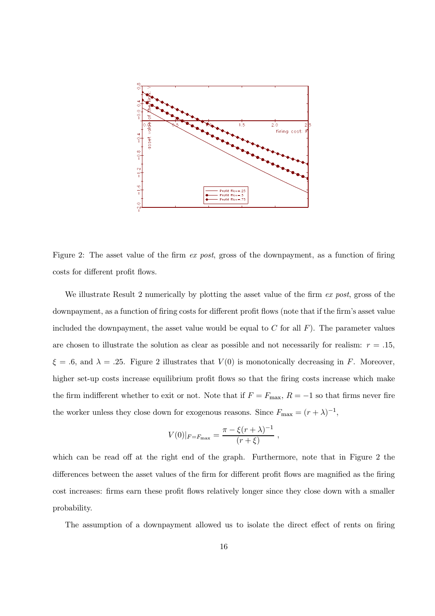

Figure 2: The asset value of the firm ex post, gross of the downpayment, as a function of firing costs for different profit flows.

We illustrate Result 2 numerically by plotting the asset value of the firm  $ex$  post, gross of the downpayment, as a function of firing costs for different profit flows (note that if the firm's asset value included the downpayment, the asset value would be equal to C for all  $F$ ). The parameter values are chosen to illustrate the solution as clear as possible and not necessarily for realism:  $r = .15$ ,  $\xi = .6$ , and  $\lambda = .25$ . Figure 2 illustrates that  $V(0)$  is monotonically decreasing in F. Moreover, higher set-up costs increase equilibrium profit flows so that the firing costs increase which make the firm indifferent whether to exit or not. Note that if  $F = F_{\text{max}}$ ,  $R = -1$  so that firms never fire the worker unless they close down for exogenous reasons. Since  $F_{\text{max}} = (r + \lambda)^{-1}$ ,

$$
V(0)|_{F=F_{\text{max}}} = \frac{\pi - \xi(r+\lambda)^{-1}}{(r+\xi)} ,
$$

which can be read off at the right end of the graph. Furthermore, note that in Figure 2 the differences between the asset values of the firm for different profit flows are magnified as the firing cost increases: firms earn these profit flows relatively longer since they close down with a smaller probability.

The assumption of a downpayment allowed us to isolate the direct effect of rents on firing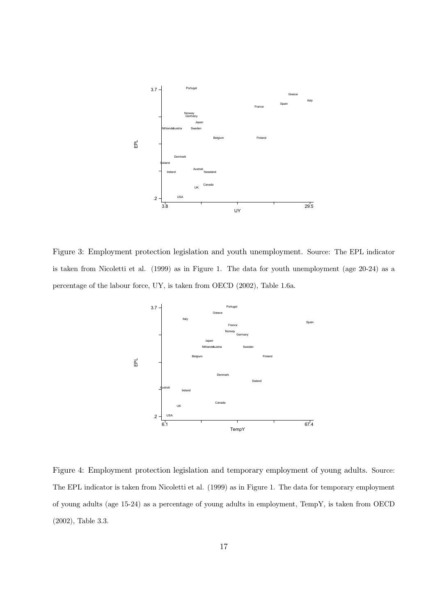

Figure 3: Employment protection legislation and youth unemployment. Source: The EPL indicator is taken from Nicoletti et al. (1999) as in Figure 1. The data for youth unemployment (age  $20-24$ ) as a percentage of the labour force, UY, is taken from OECD  $(2002)$ , Table 1.6a.



Figure 4: Employment protection legislation and temporary employment of young adults. Source: The EPL indicator is taken from Nicoletti et al. (1999) as in Figure 1. The data for temporary employment of young adults (age 15-24) as a percentage of young adults in employment, TempY, is taken from OECD  $(2002)$ , Table 3.3.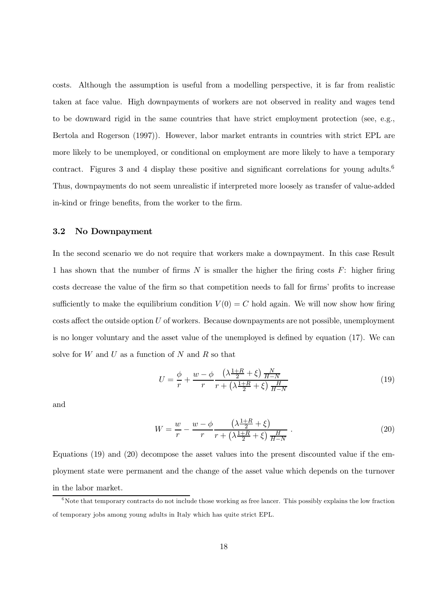costs. Although the assumption is useful from a modelling perspective, it is far from realistic taken at face value. High downpayments of workers are not observed in reality and wages tend to be downward rigid in the same countries that have strict employment protection (see, e.g., Bertola and Rogerson (1997). However, labor market entrants in countries with strict EPL are more likely to be unemployed, or conditional on employment are more likely to have a temporary contract. Figures 5 and 4 display these positive and significant correlations for young addits. Thus, downpayments do not seem unrealistic if interpreted more loosely as transfer of value-added in-kind or fringe benefits, from the worker to the firm.

## 615 Qr Grzqsd|phqw

In the second scenario we do not require that workers make a downpayment. In this case Result 1 has shown that the number of firms N is smaller the higher the firing costs  $F$ : higher firing costs decrease the value of the firm so that competition needs to fall for firms' profits to increase sufficiently to make the equilibrium condition  $V(0) = C$  hold again. We will now show how firing costs affect the outside option  $U$  of workers. Because downpayments are not possible, unemployment is no longer voluntary and the asset value of the unemployed is defined by equation  $(17)$ . We can solve for W and U as a function of N and R so that

$$
U = \frac{\phi}{r} + \frac{w - \phi}{r} \frac{\left(\lambda \frac{1+R}{2} + \xi\right) \frac{N}{H-N}}{r + \left(\lambda \frac{1+R}{2} + \xi\right) \frac{H}{H-N}}
$$
(19)

$$
W = \frac{w}{r} - \frac{w - \phi}{r} \frac{\left(\lambda \frac{1+R}{2} + \xi\right)}{r + \left(\lambda \frac{1+R}{2} + \xi\right) \frac{H}{H-N}}\tag{20}
$$

Equations (19) and (20) decompose the asset values into the present discounted value if the employment state were permanent and the change of the asset value which depends on the turnover lq wkh oderu pdunhw1

Note that temporary contracts do not include those working as free lancer. This possibly explains the low fraction  $\overline{a}$ of temporary jobs among young adults in Italy which has quite strict EPL.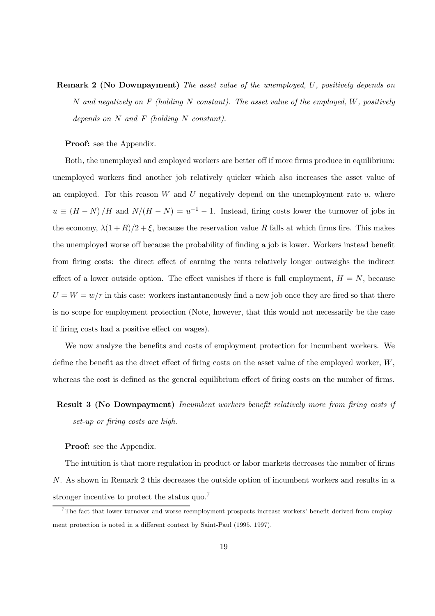**Remark 2 (No Downpayment)** The asset value of the unemployed, U, positively depends on N and negatively on F (holding N constant). The asset value of the employed, W, positively depends on  $N$  and  $F$  (holding  $N$  constant).

Proof: see the Appendix.

Both, the unemployed and employed workers are better off if more firms produce in equilibrium: unemployed workers find another job relatively quicker which also increases the asset value of an employed. For this reason W and U negatively depend on the unemployment rate  $u$ , where  $u \equiv (H - N) / H$  and  $N/(H - N) = u^{-1} - 1$ . Instead, firing costs lower the turnover of jobs in the economy,  $\lambda(1 + R)/2 + \xi$ , because the reservation value R falls at which firms fire. This makes the unemployed worse off because the probability of finding a job is lower. Workers instead benefit iurp  $\alpha$  frawve $\alpha$  is a whole whole  $\alpha$  is the unit or  $\alpha$  in the lag up of  $\alpha$  ratio  $\alpha$ effect of a lower outside option. The effect vanishes if there is full employment,  $H = N$ , because  $U = W = w/r$  in this case: workers instantaneously find a new job once they are fired so that there lv ar vrfrsh iru darphylaidin phylaidina (1999) ar noneg qrahu/ wake well are are allowed all we call if firing costs had a positive effect on wages).

We now analyze the benefits and costs of employment protection for incumbent workers. We define the benefit as the direct effect of firing costs on the asset value of the employed worker,  $W$ , whereas the cost is defined as the general equilibrium effect of firing costs on the number of firms.

## **Result 3 (No Downpayment)** Incumbent workers benefit relatively more from firing costs if  $set-up$  or firing costs are high.

#### **Proof:** see the Appendix.

The intuition is that more regulation in product or labor markets decreases the number of firms  $N$ . As shown in Remark 2 this decreases the outside option of incumbent workers and results in a stronger incentive to protect the status quo.

<sup>&</sup>lt;sup>7</sup>The fact that lower turnover and worse reemployment prospects increase workers' benefit derived from employment protection is noted in a different context by Saint-Paul  $(1995, 1997)$ .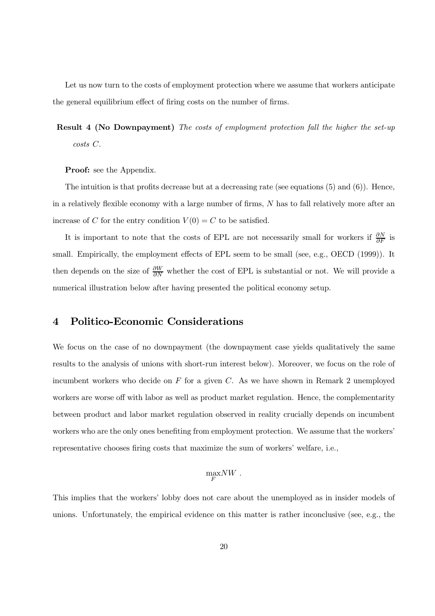Let us now turn to the costs of employment protection where we assume that workers anticipate the general equilibrium effect of firing costs on the number of firms.

**Result 4 (No Downpayment)** The costs of employment protection fall the higher the set-up  $costs$   $C$ .

**Proof:** see the Appendix.

The intuition is that profits decrease but at a decreasing rate (see equations  $(5)$  and  $(6)$ ). Hence, in a relatively flexible economy with a large number of firms,  $N$  has to fall relatively more after an increase of C for the entry condition  $V(0) = C$  to be satisfied.

It is important to note that the costs of EPL are not necessarily small for workers if  $\frac{\partial N}{\partial F}$  is small. Empirically, the employment effects of EPL seem to be small (see, e.g., OECD (1999)). It then depends on the size of  $\frac{\partial W}{\partial N}$  whether the cost of EPL is substantial or not. We will provide a numerical illustration below after having presented the political economy setup.

#### $\overline{\mathbf{4}}$ **Politico-Economic Considerations**

We focus on the case of no downpayment (the downpayment case yields qualitatively the same results to the analysis of unions with short-run interest below). Moreover, we focus on the role of incumbent workers who decide on  $F$  for a given  $C$ . As we have shown in Remark 2 unemployed workers are worse off with labor as well as product market regulation. Hence, the complementarity between product and labor market regulation observed in reality crucially depends on incumbent workers who are the only ones benefiting from employment protection. We assume that the workers representative chooses firing costs that maximize the sum of workers' welfare, i.e.,

$$
\max_{F} NW
$$

This implies that the workers' lobby does not care about the unemployed as in insider models of unions. Unfortunately, the empirical evidence on this matter is rather inconclusive (see, e.g., the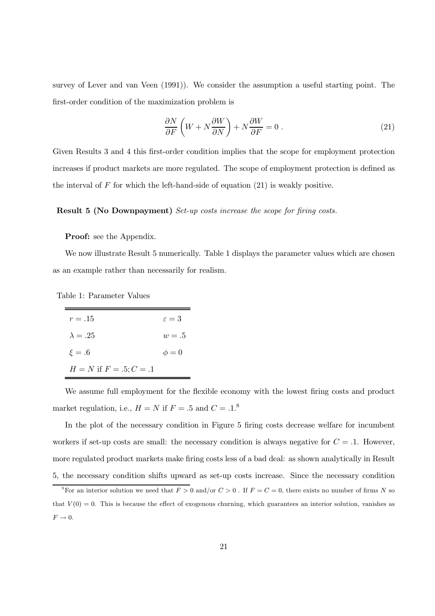survey of Lever and van Veen  $(1991)$ ). We consider the assumption a useful starting point. The first-order condition of the maximization problem is

$$
\frac{\partial N}{\partial F} \left( W + N \frac{\partial W}{\partial N} \right) + N \frac{\partial W}{\partial F} = 0 \tag{21}
$$

Given Results 3 and 4 this first-order condition implies that the scope for employment protection increases if product markets are more regulated. The scope of employment protection is defined as the interval of  $F$  for which the left-hand-side of equation (21) is weakly positive.

#### **Result 5 (No Downpayment)** Set-up costs increase the scope for firing costs.

#### Proof: see the Appendix.

We now illustrate Result 5 numerically. Table 1 displays the parameter values which are chosen as an example rather than necessarily for realism.

| $r=.15$                        | $\varepsilon = 3$ |
|--------------------------------|-------------------|
| $\lambda = .25$                | $w=.5$            |
| $\xi = .6$                     | $\phi = 0$        |
| $H = N$ if $F = .5$ ; $C = .1$ |                   |

We assume full employment for the flexible economy with the lowest firing costs and product market regulation, i.e.,  $H = N$  if  $F = .5$  and  $C = .1$ .<sup>8</sup>

In the plot of the necessary condition in Figure 5 firing costs decrease welfare for incumbent workers if set-up costs are small: the necessary condition is always negative for  $C = .1$ . However, more regulated product markets make firing costs less of a bad deal: as shown analytically in Result 5, the necessary condition shifts upward as set-up costs increase. Since the necessary condition

<sup>&</sup>lt;sup>8</sup>For an interior solution we need that  $F > 0$  and/or  $C > 0$ . If  $F = C = 0$ , there exists no number of firms N so that  $V(0) = 0$ . This is because the effect of exogenous churning, which guarantees an interior solution, vanishes as  $F \to 0.$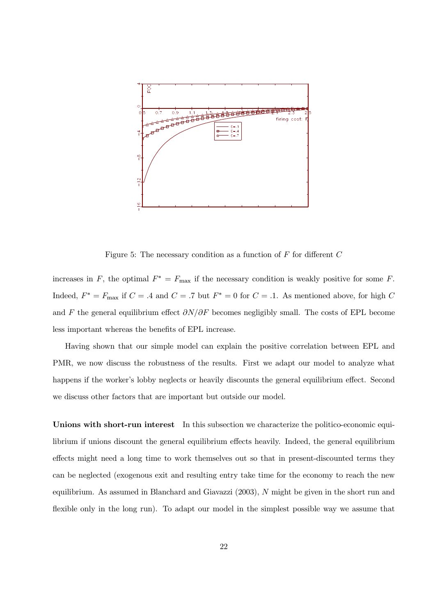

Figure 5: The necessary condition as a function of  $F$  for different  $C$ 

increases in F, the optimal  $F^* = F_{\text{max}}$  if the necessary condition is weakly positive for some F. Indeed,  $F^* = F_{\text{max}}$  if  $C = .4$  and  $C = .7$  but  $F^* = 0$  for  $C = .1$ . As mentioned above, for high  $C$ and F the general equilibrium effect  $\partial N/\partial F$  becomes negligibly small. The costs of EPL become less important whereas the benefits of EPL increase.

Having shown that our simple model can explain the positive correlation between EPL and PMR, we now discuss the robustness of the results. First we adapt our model to analyze what happens if the worker's lobby neglects or heavily discounts the general equilibrium effect. Second we discuss other factors that are important but outside our model.

Unions with short-run interest In this subsection we characterize the politico-economic equilibrium if unions discount the general equilibrium effects heavily. Indeed, the general equilibrium effects might need a long time to work themselves out so that in present-discounted terms they can be neglected (exogenous exit and resulting entry take time for the economy to reach the new equilibrium. As assumed in Blanchard and Giavazzi  $(2003)$ , N might be given in the short run and flexible only in the long run). To adapt our model in the simplest possible way we assume that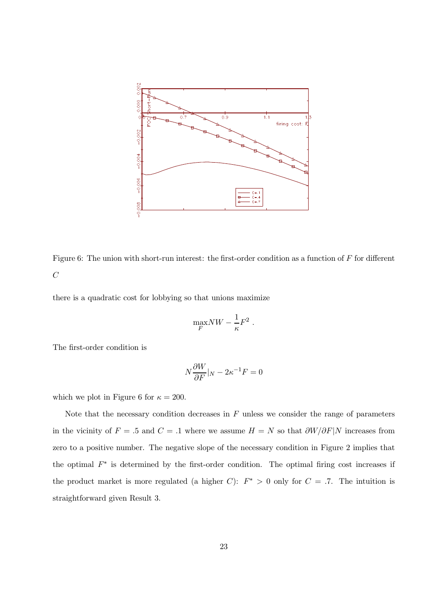

Figure 6: The union with short-run interest: the first-order condition as a function of  $F$  for different  $\boldsymbol{C}$ 

there is a quadratic cost for lobbying so that unions maximize

$$
\max_F N W - \frac{1}{\kappa} F^2.
$$

The first-order condition is

$$
N\frac{\partial W}{\partial F}|_N - 2\kappa^{-1}F = 0
$$

which we plot in Figure 6 for  $\kappa = 200$ .

Note that the necessary condition decreases in  $F$  unless we consider the range of parameters in the vicinity of  $F = .5$  and  $C = .1$  where we assume  $H = N$  so that  $\frac{\partial W}{\partial F} |N$  increases from zero to a positive number. The negative slope of the necessary condition in Figure 2 implies that the optimal  $F^*$  is determined by the first-order condition. The optimal firing cost increases if the product market is more regulated (a higher C):  $F^* > 0$  only for  $C = .7$ . The intuition is straightforward given Result 3.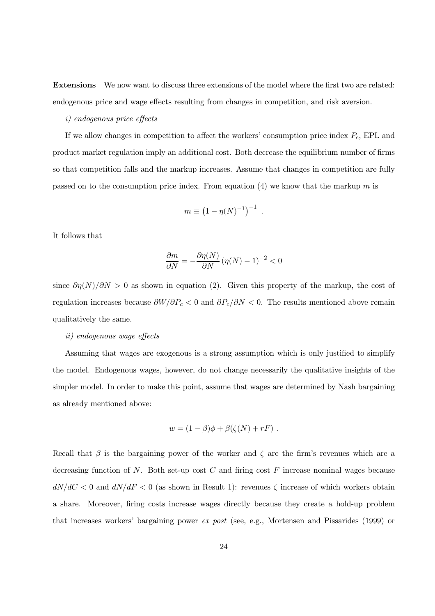**Extensions** We now want to discuss three extensions of the model where the first two are related: endogenous price and wage effects resulting from changes in competition, and risk aversion.

#### *i*) endogenous price effects

If we allow changes in competition to affect the workers' consumption price index  $P_c$ , EPL and product market regulation imply an additional cost. Both decrease the equilibrium number of firms so that competition falls and the markup increases. Assume that changes in competition are fully passed on to the consumption price index. From equation (4) we know that the markup m is

$$
m \equiv \left(1 - \eta(N)^{-1}\right)^{-1}
$$

It follows that

$$
\frac{\partial m}{\partial N} = -\frac{\partial \eta(N)}{\partial N} \left( \eta(N) - 1 \right)^{-2} < 0
$$

since  $\partial \eta(N)/\partial N > 0$  as shown in equation (2). Given this property of the markup, the cost of regulation increases because  $\partial W/\partial P_c < 0$  and  $\partial P_c/\partial N < 0$ . The results mentioned above remain qualitatively the same.

#### *ii*) endogenous wage effects

Assuming that wages are exogenous is a strong assumption which is only justified to simplify the model. Endogenous wages, however, do not change necessarily the qualitative insights of the simpler model. In order to make this point, assume that wages are determined by Nash bargaining as already mentioned above:

$$
w = (1 - \beta)\phi + \beta(\zeta(N) + rF) .
$$

Recall that  $\beta$  is the bargaining power of the worker and  $\zeta$  are the firm's revenues which are a decreasing function of N. Both set-up cost C and firing cost F increase nominal wages because  $dN/dC < 0$  and  $dN/dF < 0$  (as shown in Result 1): revenues  $\zeta$  increase of which workers obtain a share. Moreover, firing costs increase wages directly because they create a hold-up problem that increases workers' bargaining power *ex post* (see, e.g., Mortensen and Pissarides (1999) or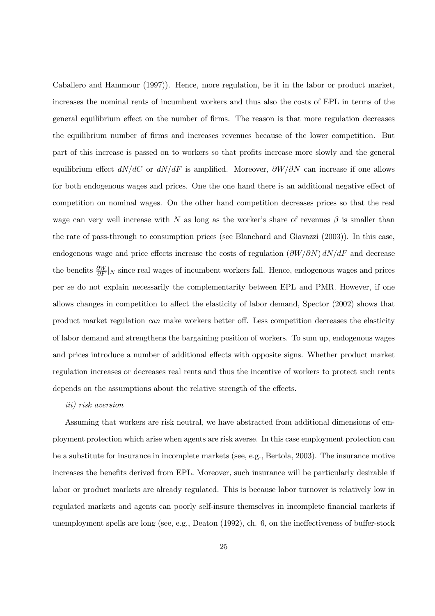$F_{\text{max}}$  and  $F_{\text{max}}$   $\left(\frac{1}{2}, \frac{1}{2}, \frac{1}{2}, \frac{1}{2}, \frac{1}{2}, \frac{1}{2}, \frac{1}{2}, \frac{1}{2}, \frac{1}{2}, \frac{1}{2}, \frac{1}{2}, \frac{1}{2}, \frac{1}{2}, \frac{1}{2}, \frac{1}{2}, \frac{1}{2}, \frac{1}{2}, \frac{1}{2}, \frac{1}{2}, \frac{1}{2}, \frac{1}{2}, \frac{1}{2}, \frac{1}{2}, \frac{1}{2}, \frac{1}{2}, \frac{1}{2}, \frac{1}{2}, \frac{1}{$ increases the nominal rents of incumbent workers and thus also the costs of EPL in terms of the general equilibrium effect on the number of firms. The reason is that more regulation decreases weh https://www.talia.com/web/2012/htmloleulxp localization.com/web/2012/html in which orzhphwares is an part of this increase is passed on to workers so that profits increase more slowly and the general equilibrium effect  $dN/dC$  or  $dN/dF$  is amplified. Moreover,  $\partial W/\partial N$  can increase if one allows for both endogenous wages and prices. One the one hand there is an additional negative effect of competition on nominal wages. On the other hand competition decreases prices so that the real wage can very well increase with N as long as the worker's share of revenues  $\beta$  is smaller than the rate of pass-through to consumption prices (see Blanchard and Giavazzi  $(2003)$ ). In this case, endogenous wage and price effects increase the costs of regulation  $\left(\frac{\partial W}{\partial N}\right) dN/dF$  and decrease the benefits  $\frac{\partial W}{\partial F}|_N$  since real wages of incumbent workers fall. Hence, endogenous wages and prices per se do not explain necessarily the complementarity between EPL and PMR. However, if one allows changes in competition to affect the elasticity of labor demand, Spector (2002) shows that product market regulation can make workers better off. Less competition decreases the elasticity of labor demand and strengthens the bargaining position of workers. To sum up, endogenous wages and prices introduce a number of additional effects with opposite signs. Whether product market regulation increases or decreases real rents and thus the incentive of workers to protect such rents ght radio to wakh divading the divading the contract of the distribution of the second

#### iii) risk aversion

Assuming that workers are risk neutral, we have abstracted from additional dimensions of emphoyalistic phototolic which duly which dights due that dyhuve the disc case of clipping literar phototolic thru be a substitute for insurance in incomplete markets (see, e.g., Bertola, 2003). The insurance motive increases the benefits derived from EPL. Moreover, such insurance will be particularly desirable if labor or product markets are already regulated. This is because labor turnover is relatively low in regulated markets and agents can poorly self-insure themselves in incomplete financial markets if unemployment spells are long (see, e.g., Deaton  $(1992)$ , ch. 6, on the ineffectiveness of buffer-stock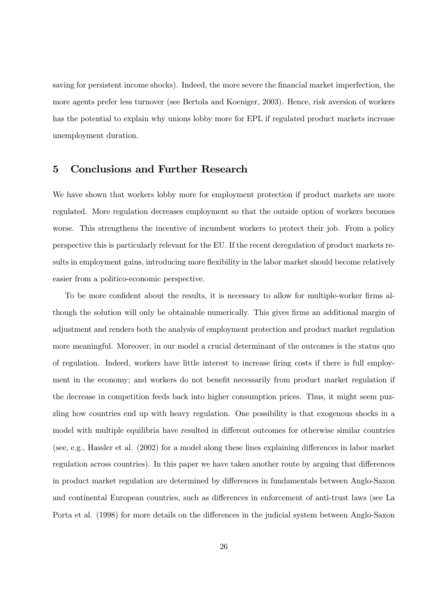vding ir personal iru shuvlum var shuvlum dan versit var production til till mediation indicated politicial, we more agents prefer less turnover (see Bertola and Koeniger, 2003). Hence, risk aversion of workers  $k$ do waaraan pruh iru HSO li uhij $\alpha$  iru HSO li uhjao li uhjao li uhjao li uhjao li uhjao li uhjao li uhjao li uhjao li uhjao li uhjao li uhjao li uhjao li uhjao li uhjao li uhjao li uhjao li uhjao li uhjao li uhjao li  $x$ 

## 8 Frafoxvlari da iyo Ixuwahu Uhvhdufka Ixuwahu Uhvhdufka Ixuwahu Uhvhdufka Ixuwahu Uhvhdufka Ixuwahu Uhvhdufka<br>Davoda Ixuwahu Uhvhdufka Ixuwahu Uhvhdufka Ixuwahu Uhvhdufka Ixuwahu Uhvhdufka Ixuwahu Uhvhdufka Ixuwahu Uhvhd

We have shown that workers lobby more for employment protection if product markets are more regulated. More regulation decreases employment so that the outside option of workers becomes worse. This strengthens the incentive of incumbent workers to protect their job. From a policy  $s_{\text{max}}$  is duwlfaduody the channel use the  $\pm$  can have the channel  $\alpha$  rightsoduced rightsoduced  $\alpha$  $v_{\rm r}$  lays identified probability probability probability  $v_{\rm r}$  is a set of  $v_{\rm r}$ easier from a politico-economic perspective.

To be more confident about the results, it is necessary to allow for multiple-worker firms although the solution will only be obtainable numerically. This gives firms an additional margin of adjustment and renders both the analysis of employment protection and product market regulation more meaningful. Moreover, in our model a crucial determinant of the outcomes is the status quo of regulation. Indeed, workers have little interest to increase firing costs if there is full employment in the economy; and workers do not benefit necessarily from product market regulation if the decrease in competition feeds back into higher consumption prices. Thus, it might seem puzzling how countries end up with heavy regulation. One possibility is that exogenous shocks in a product https://www.traction.com/toursort.com/toursort.com/traction/traction/traction/traction/traction/traction/<br>...  $\frac{1}{1}$ regulation across countries). In this paper we have taken another route by arguing that differences in product market regulation are determined by differences in fundamentals between Anglo-Saxon and continental European countries, such as differences in enforcement of anti-trust laws (see La Porta et al. (1998) for more details on the differences in the judicial system between Anglo-Saxon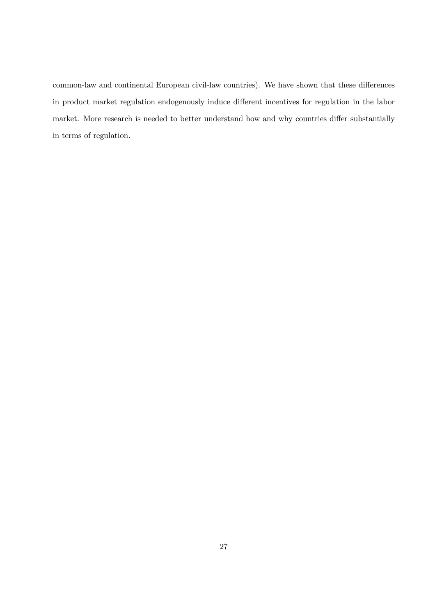common-law and continental European civil-law countries). We have shown that these differences in product market regulation endogenously induce different incentives for regulation in the labor market. More research is needed to better understand how and why countries differ substantially in terms of regulation.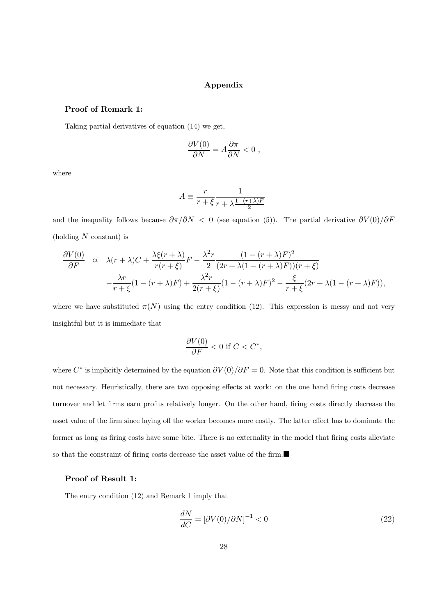#### Appendix

#### Proof of Remark 1:

Taking partial derivatives of equation (14) we get,

$$
\frac{\partial V(0)}{\partial N} = A \frac{\partial \pi}{\partial N} < 0
$$

where

$$
A \equiv \frac{r}{r + \xi} \frac{1}{r + \lambda \frac{1 - (r + \lambda)F}{2}}
$$

and the inequality follows because  $\partial \pi / \partial N < 0$  (see equation (5)). The partial derivative  $\partial V(0)/\partial F$ (holding  $N$  constant) is

$$
\frac{\partial V(0)}{\partial F} \propto \lambda(r+\lambda)C + \frac{\lambda\xi(r+\lambda)}{r(r+\xi)}F - \frac{\lambda^2r}{2}\frac{(1-(r+\lambda)F)^2}{(2r+\lambda(1-(r+\lambda)F))(r+\xi)} - \frac{\lambda r}{r+\xi}(1-(r+\lambda)F) + \frac{\lambda^2r}{2(r+\xi)}(1-(r+\lambda)F)^2 - \frac{\xi}{r+\xi}(2r+\lambda(1-(r+\lambda)F)),
$$

where we have substituted  $\pi(N)$  using the entry condition (12). This expression is messy and not very insightful but it is immediate that

$$
\frac{\partial V(0)}{\partial F} < 0 \text{ if } C < C^*,
$$

where  $C^*$  is implicitly determined by the equation  $\partial V(0)/\partial F = 0$ . Note that this condition is sufficient but not necessary. Heuristically, there are two opposing effects at work: on the one hand firing costs decrease turnover and let firms earn profits relatively longer. On the other hand, firing costs directly decrease the asset value of the firm since laying off the worker becomes more costly. The latter effect has to dominate the former as long as firing costs have some bite. There is no externality in the model that firing costs alleviate so that the constraint of firing costs decrease the asset value of the firm.

#### Proof of Result 1:

The entry condition  $(12)$  and Remark 1 imply that

$$
\frac{dN}{dC} = \left[\partial V(0)/\partial N\right]^{-1} < 0\tag{22}
$$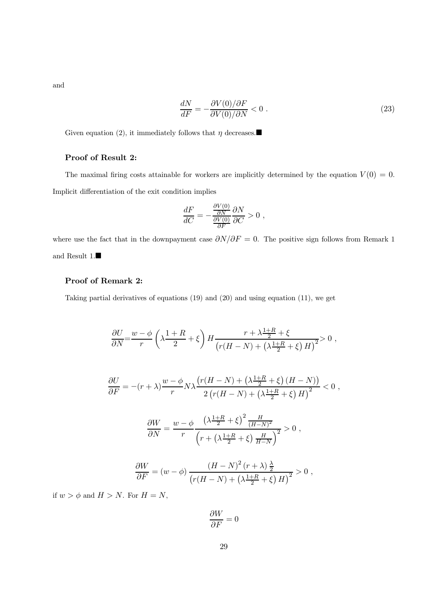and

$$
\frac{dN}{dF} = -\frac{\partial V(0)/\partial F}{\partial V(0)/\partial N} < 0 \tag{23}
$$

Given equation (2), it immediately follows that  $\eta$  decreases.

## Proof of Result 2:

The maximal firing costs attainable for workers are implicitly determined by the equation  $V(0) = 0$ . Implicit differentiation of the exit condition implies

$$
\frac{dF}{dC} = -\frac{\frac{\partial V(0)}{\partial N}}{\frac{\partial V(0)}{\partial F}} \frac{\partial N}{\partial C} > 0,
$$

where use the fact that in the downpayment case  $\partial N/\partial F = 0$ . The positive sign follows from Remark 1 and Result  $1. \blacksquare$ 

#### Proof of Remark 2:

Taking partial derivatives of equations  $(19)$  and  $(20)$  and using equation  $(11)$ , we get

$$
\frac{\partial U}{\partial N} = \frac{w - \phi}{r} \left( \lambda \frac{1 + R}{2} + \xi \right) H \frac{r + \lambda \frac{1 + R}{2} + \xi}{\left( r(H - N) + \left( \lambda \frac{1 + R}{2} + \xi \right) H \right)^2} > 0,
$$
\n
$$
\frac{\partial U}{\partial F} = -(r + \lambda) \frac{w - \phi}{r} N \lambda \frac{\left( r(H - N) + \left( \lambda \frac{1 + R}{2} + \xi \right) (H - N) \right)}{2 \left( r(H - N) + \left( \lambda \frac{1 + R}{2} + \xi \right) H \right)^2} < 0,
$$
\n
$$
\frac{\partial W}{\partial N} = \frac{w - \phi}{r} \frac{\left( \lambda \frac{1 + R}{2} + \xi \right)^2 \frac{H}{(H - N)^2}}{\left( r + \left( \lambda \frac{1 + R}{2} + \xi \right) \frac{H}{H - N} \right)^2} > 0,
$$
\n
$$
\frac{\partial W}{\partial F} = (w - \phi) \frac{(H - N)^2 (r + \lambda) \frac{\lambda}{2}}{\left( r(H - N) + \left( \lambda \frac{1 + R}{2} + \xi \right) H \right)^2} > 0,
$$
\n
$$
\ge N. \text{ For } H = N.
$$

if  $w > \phi$  and H

$$
\frac{\partial W}{\partial F}=0
$$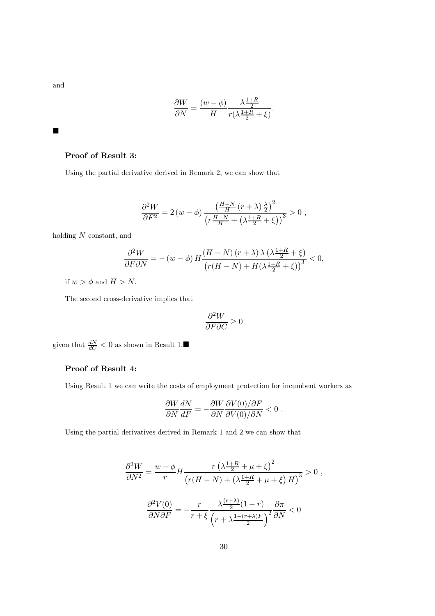and

$$
\frac{\partial W}{\partial N} = \frac{(w - \phi)}{H} \frac{\lambda \frac{1+R}{2}}{r(\lambda \frac{1+R}{2} + \xi)}.
$$

 $\blacksquare$ 

#### Proof of Result 3:

Using the partial derivative derived in Remark 2, we can show that

$$
\frac{\partial^2 W}{\partial F^2} = 2 (w - \phi) \frac{\left(\frac{H - N}{H} (r + \lambda)\frac{\lambda}{2}\right)^2}{\left(r \frac{H - N}{H} + \left(\lambda \frac{1 + R}{2} + \xi\right)\right)^3} > 0,
$$

holding  $N$  constant, and

$$
\frac{\partial^2 W}{\partial F \partial N} = - (w - \phi) H \frac{(H - N)(r + \lambda) \lambda \left(\lambda \frac{1 + R}{2} + \xi\right)}{\left(r(H - N) + H(\lambda \frac{1 + R}{2} + \xi)\right)^3} < 0,
$$

if  $w > \phi$  and  $H > N$ .

The second cross-derivative implies that

$$
\frac{\partial^2 W}{\partial F \partial C} \geq 0
$$

given that  $\frac{dN}{dC} < 0$  as shown in Result 1.

## Proof of Result 4:

Using Result 1 we can write the costs of employment protection for incumbent workers as

$$
\frac{\partial W}{\partial N}\frac{dN}{dF} = -\frac{\partial W}{\partial N}\frac{\partial V(0)/\partial F}{\partial V(0)/\partial N} < 0.
$$

Using the partial derivatives derived in Remark 1 and 2 we can show that

$$
\frac{\partial^2 W}{\partial N^2} = \frac{w - \phi}{r} H \frac{r \left(\lambda \frac{1+R}{2} + \mu + \xi\right)^2}{\left(r(H - N) + \left(\lambda \frac{1+R}{2} + \mu + \xi\right)H\right)^3} > 0,
$$
  

$$
\frac{\partial^2 V(0)}{\partial N \partial F} = -\frac{r}{r + \xi} \frac{\lambda \frac{(r+\lambda)}{2} (1-r)}{\left(r + \lambda \frac{1-(r+\lambda)F}{2}\right)^2} \frac{\partial \pi}{\partial N} < 0
$$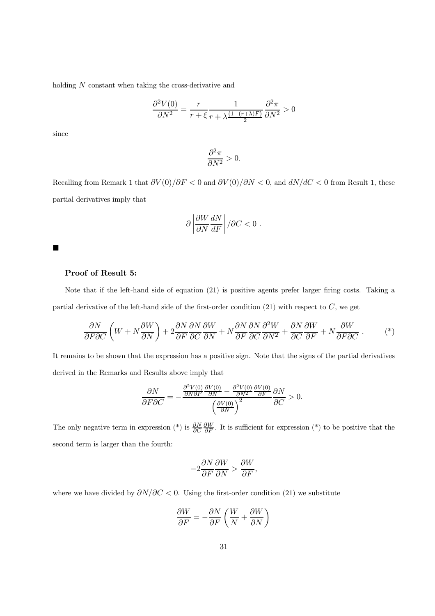holding  $N$  constant when taking the cross-derivative and

$$
\frac{\partial^2 V(0)}{\partial N^2} = \frac{r}{r+\xi} \frac{1}{r+\lambda \frac{(1-(r+\lambda)F)}{2}} \frac{\partial^2 \pi}{\partial N^2} > 0
$$

since

$$
\frac{\partial^2 \pi}{\partial N^2} > 0.
$$

Recalling from Remark 1 that  $\partial V(0)/\partial F < 0$  and  $\partial V(0)/\partial N < 0$ , and  $dN/dC < 0$  from Result 1, these partial derivatives imply that

$$
\partial \left| \frac{\partial W}{\partial N} \frac{dN}{dF} \right| / \partial C < 0 \ .
$$

▅

#### Proof of Result 5:

Note that if the left-hand side of equation (21) is positive agents prefer larger firing costs. Taking a partial derivative of the left-hand side of the first-order condition (21) with respect to  $C$ , we get

$$
\frac{\partial N}{\partial F \partial C} \left( W + N \frac{\partial W}{\partial N} \right) + 2 \frac{\partial N}{\partial F} \frac{\partial N}{\partial C} \frac{\partial W}{\partial N} + N \frac{\partial N}{\partial F} \frac{\partial N}{\partial C} \frac{\partial^2 W}{\partial N^2} + \frac{\partial N}{\partial C} \frac{\partial W}{\partial F} + N \frac{\partial W}{\partial F \partial C} \tag{*}
$$

It remains to be shown that the expression has a positive sign. Note that the signs of the partial derivatives derived in the Remarks and Results above imply that

$$
\frac{\partial N}{\partial F \partial C} = -\frac{\frac{\partial^2 V(0)}{\partial N \partial F} \frac{\partial V(0)}{\partial N} - \frac{\partial^2 V(0)}{\partial N^2} \frac{\partial V(0)}{\partial F}}{\left(\frac{\partial V(0)}{\partial N}\right)^2} \frac{\partial N}{\partial C} > 0.
$$

The only negative term in expression (\*) is  $\frac{\partial N}{\partial C}$  $\partial W$  $\partial F$  . It is sufficient for expression ( $\theta$ ) to be positive that the second term is larger than the fourth:

$$
-2\frac{\partial N}{\partial F}\frac{\partial W}{\partial N} > \frac{\partial W}{\partial F},
$$

where we have divided by  $\partial N/\partial C < 0$ . Using the first-order condition (21) we substitute

$$
\frac{\partial W}{\partial F} = -\frac{\partial N}{\partial F} \left( \frac{W}{N} + \frac{\partial W}{\partial N} \right)
$$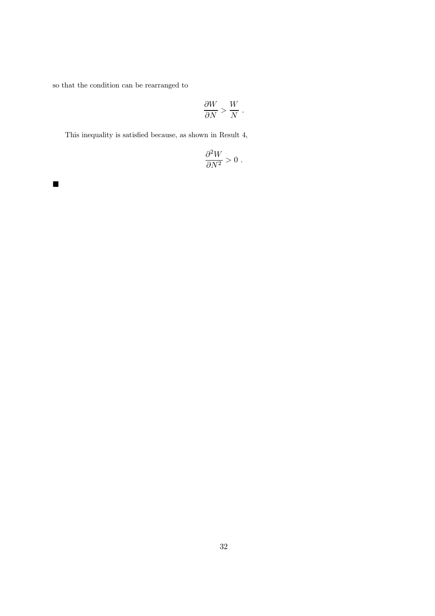so that the condition can be rearranged to

$$
\frac{\partial W}{\partial N} > \frac{W}{N} .
$$

This inequality is satisfied because, as shown in Result 4,

$$
\frac{\partial^2 W}{\partial N^2} > 0 \; .
$$

 $\blacksquare$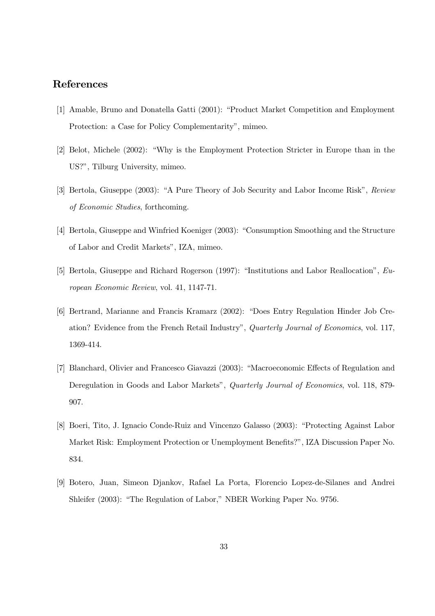## $\overline{\phantom{a}}$

- [1] Amable, Bruno and Donatella Gatti (2001): "Product Market Competition and Employment Protection: a Case for Policy Complementarity", mimeo.
- $[2]$  Belot, Michele  $(2002)$ : "Why is the Employment Protection Stricter in Europe than in the US?", Tilburg University, mimeo.
- [3] Bertola, Giuseppe (2003): "A Pure Theory of Job Security and Labor Income Risk", Review of Economic Studies, forthcoming.
- [4] Bertola, Giuseppe and Winfried Koeniger (2003): "Consumption Smoothing and the Structure of Labor and Credit Markets", IZA, mimeo.
- [5] Bertola, Giuseppe and Richard Rogerson (1997): "Institutions and Labor Reallocation",  $Eu$  $ropean Economic Review$ , vol. 41, 1147-71.
- [6] Bertrand, Marianne and Francis Kramarz (2002): "Does Entry Regulation Hinder Job Creation? Evidence from the French Retail Industry", Quarterly Journal of Economics, vol. 117, 1369-414.
- [7] Blanchard, Olivier and Francesco Giavazzi (2003): "Macroeconomic Effects of Regulation and Deregulation in Goods and Labor Markets", Quarterly Journal of Economics, vol. 118, 879-907.
- [8] Boeri, Tito, J. Ignacio Conde-Ruiz and Vincenzo Galasso (2003): "Protecting Against Labor Market Risk: Employment Protection or Unemployment Benefits?", IZA Discussion Paper No. 834.
- [9] Botero, Juan, Simeon Djankov, Rafael La Porta, Florencio Lopez-de-Silanes and Andrei Shleifer (2003): "The Regulation of Labor," NBER Working Paper No. 9756.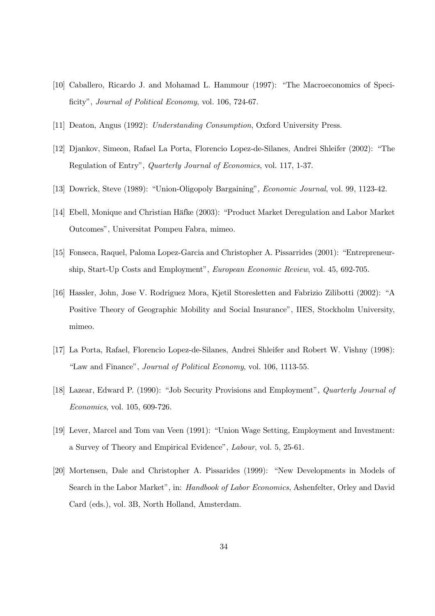- $[10]$  Caballero, Ricardo J. and Mohamad L. Hammour  $(1997)$ : "The Macroeconomics of Specificity", Journal of Political Economy, vol. 106, 724-67.
- $\frac{1}{4}$  and  $\frac{1}{2}$  Ghd(  $\frac{1}{2}$ ) Franciscovicity Franciscovic  $\frac{1}{2}$
- [12] Djankov, Simeon, Rafael La Porta, Florencio Lopez-de-Silanes, Andrei Shleifer (2002): "The  $U_{ij}$  rigardo ri  $U_{ij}$  ,  $\psi$  and  $U_{ij}$  is the function  $\psi$  and  $\psi$  and  $\psi$
- $[13]$  Dowrick, Steve (1989): "Union-Oligopoly Bargaining", *Economic Journal*, vol. 99, 1123-42.
- [14] Ebell, Monique and Christian Häfke (2003): "Product Market Deregulation and Labor Market  $\mathbf{r}$  and  $\mathbf{r}$  is the state  $\mathbf{r}$  plane identify
- $^{48}$  Irquiday, Soopaa, Sdorpd Organization directly directly probabilities  $^{400}$ ship, Start-Up Costs and Employment", European Economic Review, vol. 45, 692-705.
- $\begin{pmatrix} 1 & 1 \\ 1 & 1 \end{pmatrix}$  and  $\begin{pmatrix} 1 & 1 \\ 1 & 1 \end{pmatrix}$  Prudove Varuhvohwa dag Ideulalr al-Positive Theory of Geographic Mobility and Social Insurance", IIES, Stockholm University,
- [17] La Porta, Rafael, Florencio Lopez-de-Silanes, Andrei Shleifer and Robert W. Vishny (1998):  $\sigma$  different matrix  $\sigma$   $\sigma$   $\sigma$   $\sigma$   $\sigma$   $\sigma$   $\sigma$
- [18] Lazear, Edward P. (1990): "Job Security Provisions and Employment", Quarterly Journal of Economics, vol. 105, 609-726.
- [19] Lever, Marcel and Tom van Veen (1991): "Union Wage Setting, Employment and Investment: a Survey of Theory and Empirical Evidence", Labour, vol. 5, 25-61.
- [20] Mortensen, Dale and Christopher A. Pissarides (1999): "New Developments in Models of Search in the Labor Market", in: *Handbook of Labor Economics*, Ashenfelter, Orley and David Card (eds.), vol. 3B, North Holland, Amsterdam.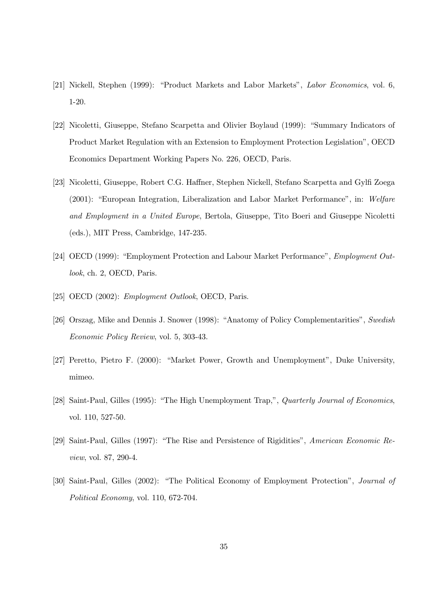- [21] Nickell, Stephen (1999): "Product Markets and Labor Markets", Labor Economics, vol. 6, 40531
- $\frac{1}{2}$  and  $\frac{1}{2}$  are  $\frac{1}{2}$  and  $\frac{1}{2}$  and  $\frac{1}{2}$  are  $\frac{1}{2}$  . If  $\frac{1}{2}$  is the set of  $\frac{1}{2}$ Product Market Regulation with an Extension to Employment Protection Legislation", OECD Economics Department Working Papers No. 226, OECD, Paris.
- [23] Nicoletti, Giuseppe, Robert C.G. Haffner, Stephen Nickell, Stefano Scarpetta and Gylfi Zoega  $(2001)$ : "European Integration, Liberalization and Labor Market Performance", in: Welfare and Employment in a United Europe, Bertola, Giuseppe, Tito Boeri and Giuseppe Nicoletti  $(\text{eds.}),$  MIT Press, Cambridge, 147-235.
- [24] OECD (1999): "Employment Protection and Labour Market Performance", *Employment Out* $look$ , ch. 2, OECD, Paris.
- $[25]$  OECD  $(2002)$ : *Employment Outlook*, OECD, Paris.
- [26] Orszag, Mike and Dennis J. Snower (1998): "Anatomy of Policy Complementarities", Swedish Economic Policy Review, vol. 5, 303-43.
- [27] Peretto, Pietro F. (2000): "Market Power, Growth and Unemployment", Duke University,
- [28] Saint-Paul, Gilles (1995): "The High Unemployment Trap,", *Quarterly Journal of Economics*, vol. 110, 527-50.
- [29] Saint-Paul, Gilles (1997): "The Rise and Persistence of Rigidities", American Economic Re*view*, vol. 87, 290-4.
- [30] Saint-Paul, Gilles (2002): "The Political Economy of Employment Protection", Journal of  $Political Economy, vol. 110, 672-704.$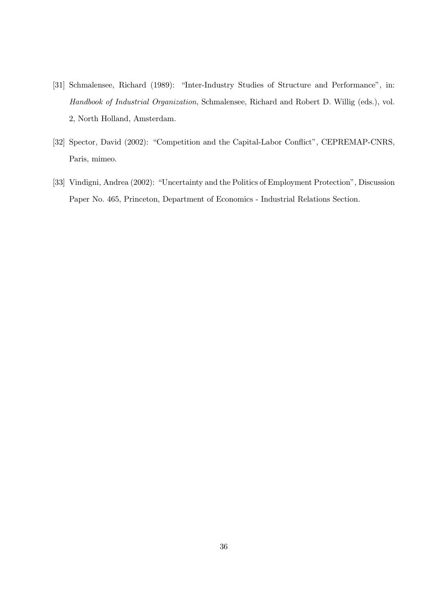- [31] Schmalensee, Richard (1989): "Inter-Industry Studies of Structure and Performance", in: Handbook of Industrial Organization, Schmalensee, Richard and Robert D. Willig (eds.), vol. 2, North Holland, Amsterdam.
- [32] Spector, David (2002): "Competition and the Capital-Labor Conflict", CEPREMAP-CNRS, Paris, mimeo.
- [33] Vindigni, Andrea (2002): "Uncertainty and the Politics of Employment Protection", Discussion Paper No. 465, Princeton, Department of Economics - Industrial Relations Section.